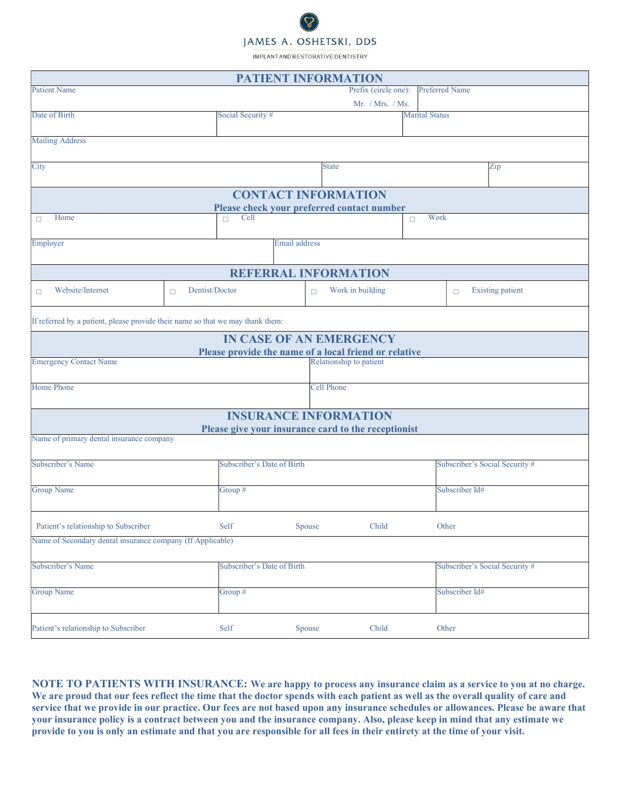## JAMES A. OSHETSKI, DDS

IMPLANTAND RESTORATIVE DENTISTRY

|                                                                                |                            | <b>PATIENT INFORMATION</b>                            |                                   |
|--------------------------------------------------------------------------------|----------------------------|-------------------------------------------------------|-----------------------------------|
| <b>Patient Name</b>                                                            |                            | Prefix (circle one):                                  | <b>Preferred Name</b>             |
|                                                                                |                            | Mr. / Mrs. / Ms.                                      |                                   |
| Date of Birth                                                                  | Social Security #          |                                                       | <b>Marital Status</b>             |
|                                                                                |                            |                                                       |                                   |
| <b>Mailing Address</b>                                                         |                            |                                                       |                                   |
|                                                                                |                            |                                                       |                                   |
| City                                                                           |                            | <b>State</b>                                          | Zip                               |
|                                                                                |                            |                                                       |                                   |
|                                                                                |                            | <b>CONTACT INFORMATION</b>                            |                                   |
|                                                                                |                            | Please check your preferred contact number            |                                   |
| Home<br>$\Box$                                                                 | Cell<br>$\Box$             |                                                       | Work<br>$\Box$                    |
|                                                                                |                            |                                                       |                                   |
| Employer                                                                       |                            | Email address                                         |                                   |
|                                                                                |                            |                                                       |                                   |
|                                                                                |                            | <b>REFERRAL INFORMATION</b>                           |                                   |
| Website/Internet<br>п                                                          | Dentist/Doctor<br>$\Box$   | Work in building<br>$\Box$                            | <b>Existing patient</b><br>$\Box$ |
|                                                                                |                            |                                                       |                                   |
|                                                                                |                            |                                                       |                                   |
| If referred by a patient, please provide their name so that we may thank them: |                            |                                                       |                                   |
|                                                                                |                            | <b>IN CASE OF AN EMERGENCY</b>                        |                                   |
|                                                                                |                            | Please provide the name of a local friend or relative |                                   |
| <b>Emergency Contact Name</b>                                                  |                            | Relationship to patient                               |                                   |
|                                                                                |                            |                                                       |                                   |
| <b>Home Phone</b>                                                              |                            | <b>Cell Phone</b>                                     |                                   |
|                                                                                |                            |                                                       |                                   |
|                                                                                |                            | <b>INSURANCE INFORMATION</b>                          |                                   |
|                                                                                |                            | Please give your insurance card to the receptionist   |                                   |
| Name of primary dental insurance company                                       |                            |                                                       |                                   |
|                                                                                |                            |                                                       |                                   |
| Subscriber's Name                                                              | Subscriber's Date of Birth |                                                       | Subscriber's Social Security #    |
|                                                                                |                            |                                                       |                                   |
| <b>Group Name</b>                                                              | Group #                    |                                                       | Subscriber Id#                    |
|                                                                                |                            |                                                       |                                   |
| Patient's relationship to Subscriber                                           | Self                       | Child<br>Spouse                                       | Other                             |
|                                                                                |                            |                                                       |                                   |
| Name of Secondary dental insurance company (If Applicable)                     |                            |                                                       |                                   |
|                                                                                |                            |                                                       |                                   |
| Subscriber's Name                                                              | Subscriber's Date of Birth |                                                       | Subscriber's Social Security #    |
|                                                                                |                            |                                                       |                                   |
| <b>Group Name</b>                                                              | Group #                    |                                                       | Subscriber Id#                    |
|                                                                                |                            |                                                       |                                   |
| Patient's relationship to Subscriber                                           | Self                       | Child<br>Spouse                                       | Other                             |
|                                                                                |                            |                                                       |                                   |

NOTE TO PATIENTS WITH INSURANCE: We are happy to process any insurance claim as a service to you at no charge. We are proud that our fees reflect the time that the doctor spends with each patient as well as the overall quality of care and service that we provide in our practice. Our fees are not based upon any insurance schedules or allowances. Please be aware that your insurance policy is a contract between you and the insurance company. Also, please keep in mind that any estimate we provide to you is only an estimate and that you are responsible for all fees in their entirety at the time of your visit.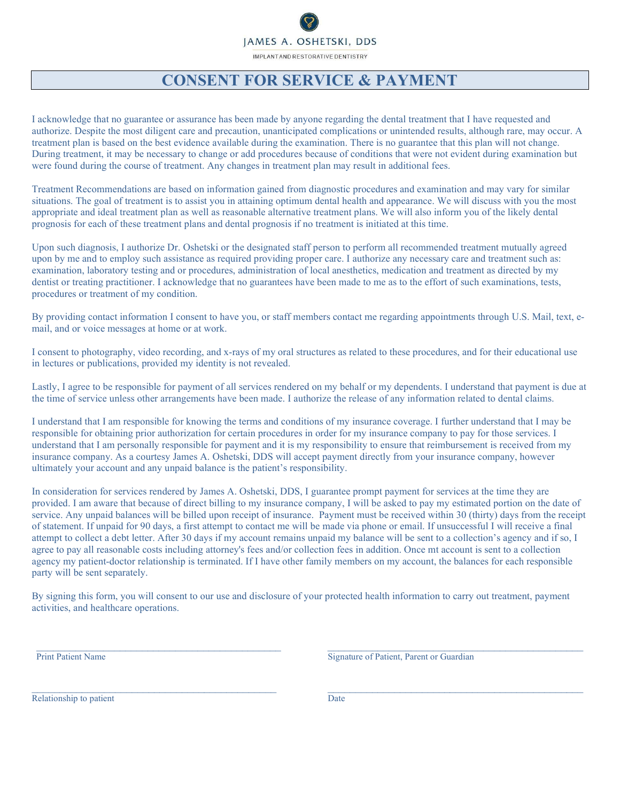## JAMES A. OSHETSKI, DDS IMPLANTAND RESTORATIVE DENTISTRY

#### CONSENT FOR SERVICE & PAYMENT

I acknowledge that no guarantee or assurance has been made by anyone regarding the dental treatment that I have requested and authorize. Despite the most diligent care and precaution, unanticipated complications or unintended results, although rare, may occur. A treatment plan is based on the best evidence available during the examination. There is no guarantee that this plan will not change. During treatment, it may be necessary to change or add procedures because of conditions that were not evident during examination but were found during the course of treatment. Any changes in treatment plan may result in additional fees.

Treatment Recommendations are based on information gained from diagnostic procedures and examination and may vary for similar situations. The goal of treatment is to assist you in attaining optimum dental health and appearance. We will discuss with you the most appropriate and ideal treatment plan as well as reasonable alternative treatment plans. We will also inform you of the likely dental prognosis for each of these treatment plans and dental prognosis if no treatment is initiated at this time.

Upon such diagnosis, I authorize Dr. Oshetski or the designated staff person to perform all recommended treatment mutually agreed upon by me and to employ such assistance as required providing proper care. I authorize any necessary care and treatment such as: examination, laboratory testing and or procedures, administration of local anesthetics, medication and treatment as directed by my dentist or treating practitioner. I acknowledge that no guarantees have been made to me as to the effort of such examinations, tests, procedures or treatment of my condition.

By providing contact information I consent to have you, or staff members contact me regarding appointments through U.S. Mail, text, email, and or voice messages at home or at work.

I consent to photography, video recording, and x-rays of my oral structures as related to these procedures, and for their educational use in lectures or publications, provided my identity is not revealed.

Lastly, I agree to be responsible for payment of all services rendered on my behalf or my dependents. I understand that payment is due at the time of service unless other arrangements have been made. I authorize the release of any information related to dental claims.

I understand that I am responsible for knowing the terms and conditions of my insurance coverage. I further understand that I may be responsible for obtaining prior authorization for certain procedures in order for my insurance company to pay for those services. I understand that I am personally responsible for payment and it is my responsibility to ensure that reimbursement is received from my insurance company. As a courtesy James A. Oshetski, DDS will accept payment directly from your insurance company, however ultimately your account and any unpaid balance is the patient's responsibility.

In consideration for services rendered by James A. Oshetski, DDS, I guarantee prompt payment for services at the time they are provided. I am aware that because of direct billing to my insurance company, I will be asked to pay my estimated portion on the date of service. Any unpaid balances will be billed upon receipt of insurance. Payment must be received within 30 (thirty) days from the receipt of statement. If unpaid for 90 days, a first attempt to contact me will be made via phone or email. If unsuccessful I will receive a final attempt to collect a debt letter. After 30 days if my account remains unpaid my balance will be sent to a collection's agency and if so, I agree to pay all reasonable costs including attorney's fees and/or collection fees in addition. Once mt account is sent to a collection agency my patient-doctor relationship is terminated. If I have other family members on my account, the balances for each responsible party will be sent separately.

By signing this form, you will consent to our use and disclosure of your protected health information to carry out treatment, payment activities, and healthcare operations.

 $\_$  , and the state of the state of the state of the state of the state of the state of the state of the state of the state of the state of the state of the state of the state of the state of the state of the state of the

 $\mathcal{L}_\mathcal{L} = \{ \mathcal{L}_\mathcal{L} = \{ \mathcal{L}_\mathcal{L} = \{ \mathcal{L}_\mathcal{L} = \{ \mathcal{L}_\mathcal{L} = \{ \mathcal{L}_\mathcal{L} = \{ \mathcal{L}_\mathcal{L} = \{ \mathcal{L}_\mathcal{L} = \{ \mathcal{L}_\mathcal{L} = \{ \mathcal{L}_\mathcal{L} = \{ \mathcal{L}_\mathcal{L} = \{ \mathcal{L}_\mathcal{L} = \{ \mathcal{L}_\mathcal{L} = \{ \mathcal{L}_\mathcal{L} = \{ \mathcal{L}_\mathcal{$ 

Print Patient Name Signature of Patient, Parent or Guardian

Relationship to patient Date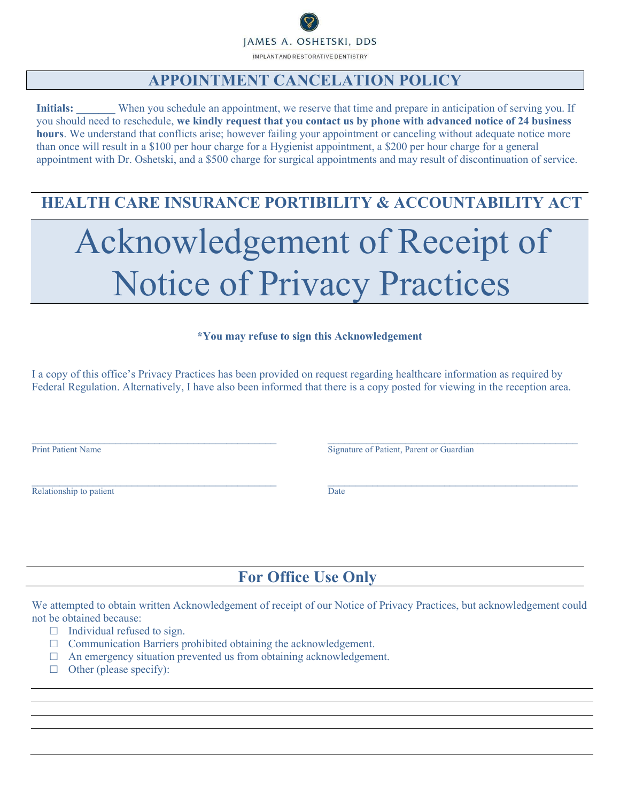JAMES A. OSHETSKI, DDS IMPLANTAND RESTORATIVE DENTISTRY

#### APPOINTMENT CANCELATION POLICY

Initials: When you schedule an appointment, we reserve that time and prepare in anticipation of serving you. If you should need to reschedule, we kindly request that you contact us by phone with advanced notice of 24 business hours. We understand that conflicts arise; however failing your appointment or canceling without adequate notice more than once will result in a \$100 per hour charge for a Hygienist appointment, a \$200 per hour charge for a general appointment with Dr. Oshetski, and a \$500 charge for surgical appointments and may result of discontinuation of service.

## HEALTH CARE INSURANCE PORTIBILITY & ACCOUNTABILITY ACT

# Acknowledgement of Receipt of Notice of Privacy Practices

#### \*You may refuse to sign this Acknowledgement

I a copy of this office's Privacy Practices has been provided on request regarding healthcare information as required by Federal Regulation. Alternatively, I have also been informed that there is a copy posted for viewing in the reception area.

 $\_$  , and the state of the state of the state of the state of the state of the state of the state of the state of the state of the state of the state of the state of the state of the state of the state of the state of the

 $\mathcal{L}_\mathcal{L} = \mathcal{L}_\mathcal{L} = \mathcal{L}_\mathcal{L} = \mathcal{L}_\mathcal{L} = \mathcal{L}_\mathcal{L} = \mathcal{L}_\mathcal{L} = \mathcal{L}_\mathcal{L} = \mathcal{L}_\mathcal{L} = \mathcal{L}_\mathcal{L} = \mathcal{L}_\mathcal{L} = \mathcal{L}_\mathcal{L} = \mathcal{L}_\mathcal{L} = \mathcal{L}_\mathcal{L} = \mathcal{L}_\mathcal{L} = \mathcal{L}_\mathcal{L} = \mathcal{L}_\mathcal{L} = \mathcal{L}_\mathcal{L}$ 

Relationship to patient Date

Print Patient Name Signature of Patient, Parent or Guardian

## For Office Use Only

We attempted to obtain written Acknowledgement of receipt of our Notice of Privacy Practices, but acknowledgement could not be obtained because:

- $\Box$  Individual refused to sign.
- $\Box$  Communication Barriers prohibited obtaining the acknowledgement.
- $\Box$  An emergency situation prevented us from obtaining acknowledgement.
- $\Box$  Other (please specify):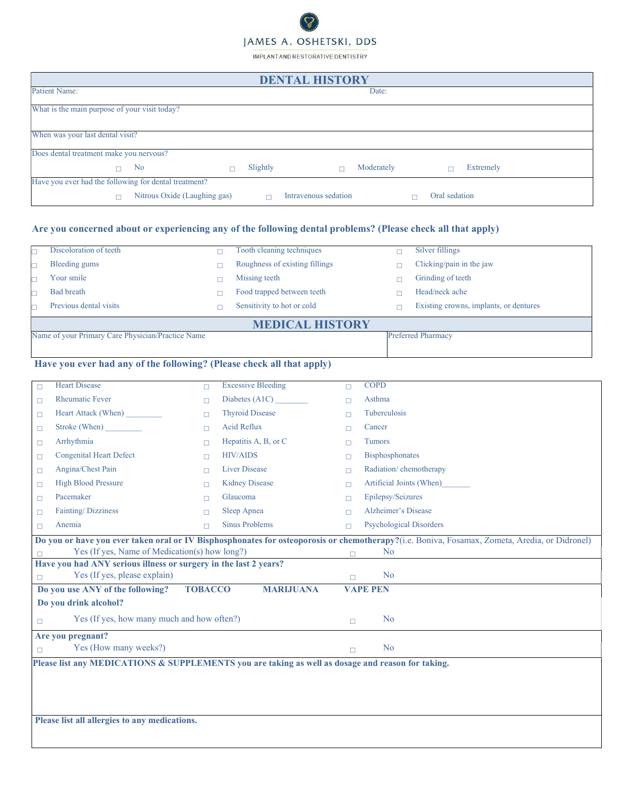# JAMES A. OSHETSKI, DDS

IMPLANTAND RESTORATIVE DENTISTRY

| <b>DENTAL HISTORY</b>                                 |                              |  |          |                      |            |  |                  |  |  |
|-------------------------------------------------------|------------------------------|--|----------|----------------------|------------|--|------------------|--|--|
| Patient Name:                                         |                              |  |          |                      | Date:      |  |                  |  |  |
| What is the main purpose of your visit today?         |                              |  |          |                      |            |  |                  |  |  |
| When was your last dental visit?                      |                              |  |          |                      |            |  |                  |  |  |
| Does dental treatment make you nervous?               |                              |  |          |                      |            |  |                  |  |  |
| n                                                     | N <sub>o</sub>               |  | Slightly |                      | Moderately |  | <b>Extremely</b> |  |  |
| Have you ever had the following for dental treatment? |                              |  |          |                      |            |  |                  |  |  |
|                                                       | Nitrous Oxide (Laughing gas) |  |          | Intravenous sedation |            |  | Oral sedation    |  |  |

#### Are you concerned about or experiencing any of the following dental problems? (Please check all that apply)

|                        | Discoloration of teeth                                                         |  | Tooth cleaning techniques      |  | Silver fillings                        |
|------------------------|--------------------------------------------------------------------------------|--|--------------------------------|--|----------------------------------------|
|                        | Bleeding gums                                                                  |  | Roughness of existing fillings |  | Clicking/pain in the jaw               |
|                        | Your smile                                                                     |  | Missing teeth                  |  | Grinding of teeth                      |
|                        | Bad breath                                                                     |  | Food trapped between teeth     |  | Head/neck ache                         |
|                        | Previous dental visits                                                         |  | Sensitivity to hot or cold     |  | Existing crowns, implants, or dentures |
| <b>MEDICAL HISTORY</b> |                                                                                |  |                                |  |                                        |
|                        | Name of your Primary Care Physician/Practice Name<br><b>Preferred Pharmacy</b> |  |                                |  |                                        |

#### Have you ever had any of the following? (Please check all that apply)

| $\Box$                            | <b>Heart Disease</b>                                                                              | $\Box$ | <b>Excessive Bleeding</b> | $\Box$ | <b>COPD</b>                                                                                                                                   |  |  |  |
|-----------------------------------|---------------------------------------------------------------------------------------------------|--------|---------------------------|--------|-----------------------------------------------------------------------------------------------------------------------------------------------|--|--|--|
| $\Box$                            | <b>Rheumatic Fever</b>                                                                            | П      | Diabetes (A1C)            | $\Box$ | Asthma                                                                                                                                        |  |  |  |
| $\Box$                            | Heart Attack (When)                                                                               | п      | <b>Thyroid Disease</b>    | П      | <b>Tuberculosis</b>                                                                                                                           |  |  |  |
| $\Box$                            | Stroke (When)                                                                                     | П      | Acid Reflux               | П      | Cancer                                                                                                                                        |  |  |  |
| $\Box$                            | Arrhythmia                                                                                        | п      | Hepatitis A, B, or C      | П      | <b>Tumors</b>                                                                                                                                 |  |  |  |
| □                                 | <b>Congenital Heart Defect</b>                                                                    | п      | <b>HIV/AIDS</b>           | П      | Bisphosphonates                                                                                                                               |  |  |  |
| $\Box$                            | Angina/Chest Pain                                                                                 | П      | <b>Liver Disease</b>      | П      | Radiation/chemotherapy                                                                                                                        |  |  |  |
| $\Box$                            | <b>High Blood Pressure</b>                                                                        | п      | <b>Kidney Disease</b>     | П      | Artificial Joints (When)                                                                                                                      |  |  |  |
| $\Box$                            | Pacemaker                                                                                         | п      | Glaucoma                  | П      | Epilepsy/Seizures                                                                                                                             |  |  |  |
| $\Box$                            | Fainting/Dizziness                                                                                | п      | Sleep Apnea               | П      | <b>Alzheimer's Disease</b>                                                                                                                    |  |  |  |
| П                                 | Anemia                                                                                            | п      | <b>Sinus Problems</b>     | П      | <b>Psychological Disorders</b>                                                                                                                |  |  |  |
|                                   |                                                                                                   |        |                           |        | Do you or have you ever taken oral or IV Bisphosphonates for osteoporosis or chemotherapy?(i.e. Boniva, Fosamax, Zometa, Aredia, or Didronel) |  |  |  |
|                                   | Yes (If yes, Name of Medication(s) how long?)                                                     |        |                           | $\Box$ | N <sub>o</sub>                                                                                                                                |  |  |  |
|                                   | Have you had ANY serious illness or surgery in the last 2 years?                                  |        |                           |        |                                                                                                                                               |  |  |  |
| Yes (If yes, please explain)<br>П |                                                                                                   |        |                           | $\Box$ | N <sub>o</sub>                                                                                                                                |  |  |  |
|                                   | Do you use ANY of the following?<br><b>TOBACCO</b><br><b>MARIJUANA</b><br><b>VAPE PEN</b>         |        |                           |        |                                                                                                                                               |  |  |  |
|                                   | Do you drink alcohol?                                                                             |        |                           |        |                                                                                                                                               |  |  |  |
| П                                 | Yes (If yes, how many much and how often?)                                                        |        |                           | $\Box$ | No                                                                                                                                            |  |  |  |
|                                   | Are you pregnant?                                                                                 |        |                           |        |                                                                                                                                               |  |  |  |
| $\Box$                            | Yes (How many weeks?)                                                                             |        |                           | $\Box$ | N <sub>o</sub>                                                                                                                                |  |  |  |
|                                   | Please list any MEDICATIONS & SUPPLEMENTS you are taking as well as dosage and reason for taking. |        |                           |        |                                                                                                                                               |  |  |  |
|                                   |                                                                                                   |        |                           |        |                                                                                                                                               |  |  |  |
|                                   |                                                                                                   |        |                           |        |                                                                                                                                               |  |  |  |
|                                   |                                                                                                   |        |                           |        |                                                                                                                                               |  |  |  |
|                                   | Please list all allergies to any medications.                                                     |        |                           |        |                                                                                                                                               |  |  |  |
|                                   |                                                                                                   |        |                           |        |                                                                                                                                               |  |  |  |
|                                   |                                                                                                   |        |                           |        |                                                                                                                                               |  |  |  |